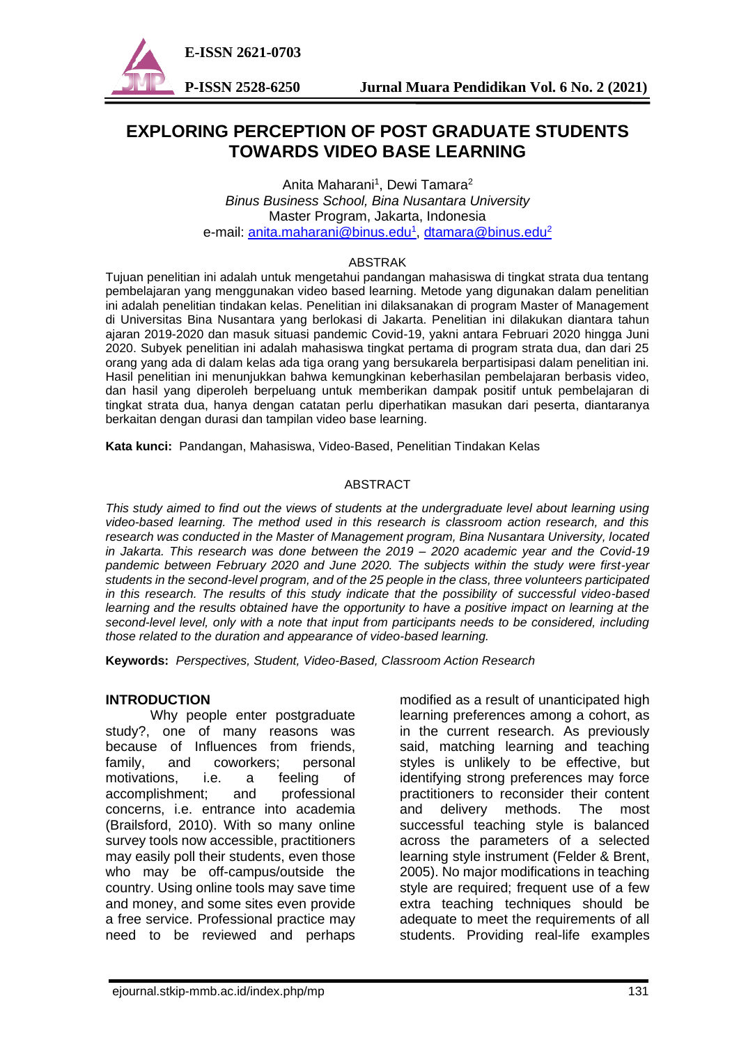

# **EXPLORING PERCEPTION OF POST GRADUATE STUDENTS TOWARDS VIDEO BASE LEARNING**

Anita Maharani<sup>1</sup>, Dewi Tamara<sup>2</sup> *Binus Business School, Bina Nusantara University* Master Program, Jakarta, Indonesia e-mail: <u>[anita.maharani@binus.edu](mailto:anita.maharani@binus.edu1)<sup>1</sup>, [dtamara@binus.edu](mailto:dtamara@binus.edu2)<sup>2</sup></u>

#### ABSTRAK

Tujuan penelitian ini adalah untuk mengetahui pandangan mahasiswa di tingkat strata dua tentang pembelajaran yang menggunakan video based learning. Metode yang digunakan dalam penelitian ini adalah penelitian tindakan kelas. Penelitian ini dilaksanakan di program Master of Management di Universitas Bina Nusantara yang berlokasi di Jakarta. Penelitian ini dilakukan diantara tahun ajaran 2019-2020 dan masuk situasi pandemic Covid-19, yakni antara Februari 2020 hingga Juni 2020. Subyek penelitian ini adalah mahasiswa tingkat pertama di program strata dua, dan dari 25 orang yang ada di dalam kelas ada tiga orang yang bersukarela berpartisipasi dalam penelitian ini. Hasil penelitian ini menunjukkan bahwa kemungkinan keberhasilan pembelajaran berbasis video, dan hasil yang diperoleh berpeluang untuk memberikan dampak positif untuk pembelajaran di tingkat strata dua, hanya dengan catatan perlu diperhatikan masukan dari peserta, diantaranya berkaitan dengan durasi dan tampilan video base learning.

**Kata kunci:**Pandangan, Mahasiswa, Video-Based, Penelitian Tindakan Kelas

## ABSTRACT

*This study aimed to find out the views of students at the undergraduate level about learning using video-based learning. The method used in this research is classroom action research, and this research was conducted in the Master of Management program, Bina Nusantara University, located in Jakarta. This research was done between the 2019 – 2020 academic year and the Covid-19 pandemic between February 2020 and June 2020. The subjects within the study were first-year students in the second-level program, and of the 25 people in the class, three volunteers participated in this research. The results of this study indicate that the possibility of successful video-based learning and the results obtained have the opportunity to have a positive impact on learning at the second-level level, only with a note that input from participants needs to be considered, including those related to the duration and appearance of video-based learning.*

**Keywords:** *Perspectives, Student, Video-Based, Classroom Action Research*

## **INTRODUCTION**

Why people enter postgraduate study?, one of many reasons was because of Influences from friends, family, and coworkers; personal motivations, i.e. a feeling of accomplishment; and professional concerns, i.e. entrance into academia (Brailsford, 2010). With so many online survey tools now accessible, practitioners may easily poll their students, even those who may be off-campus/outside the country. Using online tools may save time and money, and some sites even provide a free service. Professional practice may need to be reviewed and perhaps

modified as a result of unanticipated high learning preferences among a cohort, as in the current research. As previously said, matching learning and teaching styles is unlikely to be effective, but identifying strong preferences may force practitioners to reconsider their content and delivery methods. The most successful teaching style is balanced across the parameters of a selected learning style instrument (Felder & Brent, 2005). No major modifications in teaching style are required; frequent use of a few extra teaching techniques should be adequate to meet the requirements of all students. Providing real-life examples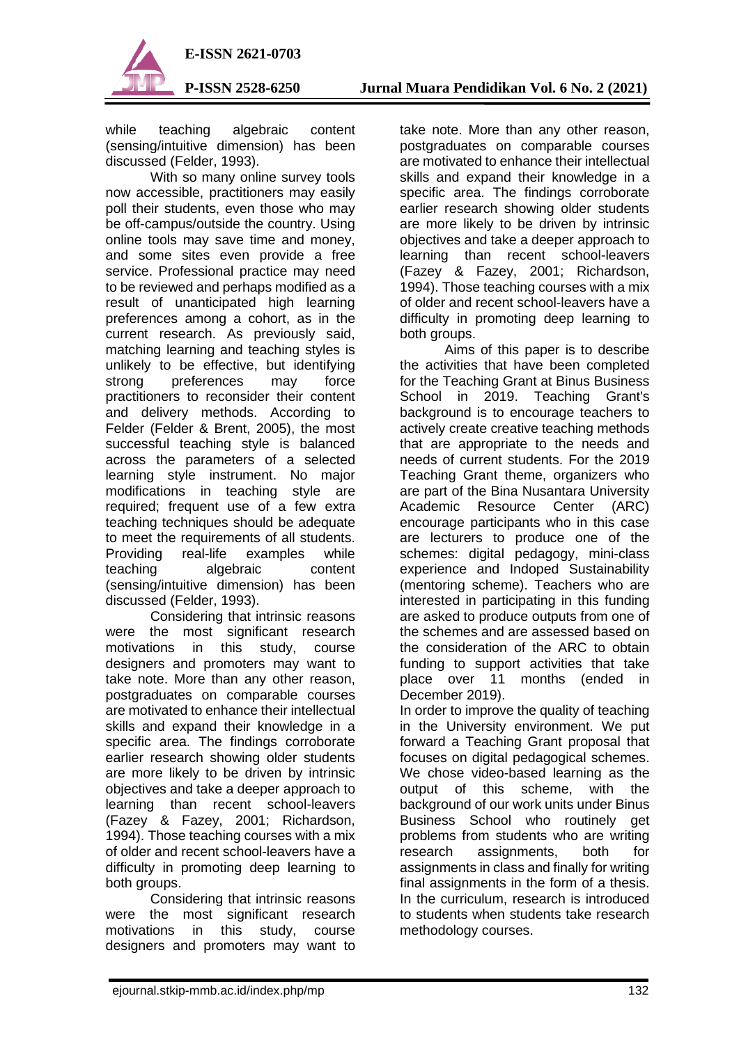

while teaching algebraic content (sensing/intuitive dimension) has been discussed (Felder, 1993).

With so many online survey tools now accessible, practitioners may easily poll their students, even those who may be off-campus/outside the country. Using online tools may save time and money, and some sites even provide a free service. Professional practice may need to be reviewed and perhaps modified as a result of unanticipated high learning preferences among a cohort, as in the current research. As previously said, matching learning and teaching styles is unlikely to be effective, but identifying strong preferences may force practitioners to reconsider their content and delivery methods. According to Felder (Felder & Brent, 2005), the most successful teaching style is balanced across the parameters of a selected learning style instrument. No major modifications in teaching style are required; frequent use of a few extra teaching techniques should be adequate to meet the requirements of all students. Providing real-life examples while<br>teaching algebraic content algebraic content (sensing/intuitive dimension) has been discussed (Felder, 1993).

Considering that intrinsic reasons were the most significant research motivations in this study, course designers and promoters may want to take note. More than any other reason, postgraduates on comparable courses are motivated to enhance their intellectual skills and expand their knowledge in a specific area. The findings corroborate earlier research showing older students are more likely to be driven by intrinsic objectives and take a deeper approach to learning than recent school-leavers (Fazey & Fazey, 2001; Richardson, 1994). Those teaching courses with a mix of older and recent school-leavers have a difficulty in promoting deep learning to both groups.

Considering that intrinsic reasons were the most significant research motivations in this study, course designers and promoters may want to

take note. More than any other reason, postgraduates on comparable courses are motivated to enhance their intellectual skills and expand their knowledge in a specific area. The findings corroborate earlier research showing older students are more likely to be driven by intrinsic objectives and take a deeper approach to learning than recent school-leavers (Fazey & Fazey, 2001; Richardson, 1994). Those teaching courses with a mix of older and recent school-leavers have a difficulty in promoting deep learning to both groups.

Aims of this paper is to describe the activities that have been completed for the Teaching Grant at Binus Business School in 2019. Teaching Grant's background is to encourage teachers to actively create creative teaching methods that are appropriate to the needs and needs of current students. For the 2019 Teaching Grant theme, organizers who are part of the Bina Nusantara University Academic Resource Center (ARC) encourage participants who in this case are lecturers to produce one of the schemes: digital pedagogy, mini-class experience and Indoped Sustainability (mentoring scheme). Teachers who are interested in participating in this funding are asked to produce outputs from one of the schemes and are assessed based on the consideration of the ARC to obtain funding to support activities that take place over 11 months (ended in December 2019).

In order to improve the quality of teaching in the University environment. We put forward a Teaching Grant proposal that focuses on digital pedagogical schemes. We chose video-based learning as the output of this scheme, with the background of our work units under Binus Business School who routinely get problems from students who are writing research assignments, both for assignments in class and finally for writing final assignments in the form of a thesis. In the curriculum, research is introduced to students when students take research methodology courses.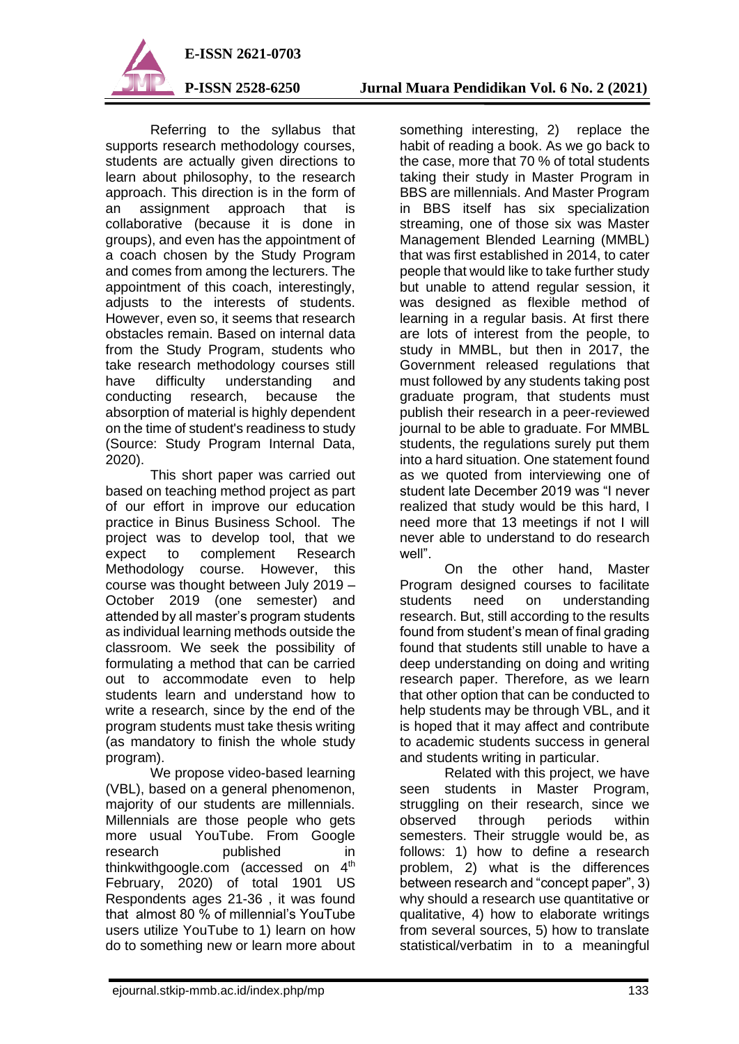

Referring to the syllabus that supports research methodology courses, students are actually given directions to learn about philosophy, to the research approach. This direction is in the form of an assignment approach that is collaborative (because it is done in groups), and even has the appointment of a coach chosen by the Study Program and comes from among the lecturers. The appointment of this coach, interestingly, adjusts to the interests of students. However, even so, it seems that research obstacles remain. Based on internal data from the Study Program, students who take research methodology courses still have difficulty understanding and conducting research, because the absorption of material is highly dependent on the time of student's readiness to study (Source: Study Program Internal Data, 2020).

This short paper was carried out based on teaching method project as part of our effort in improve our education practice in Binus Business School. The project was to develop tool, that we expect to complement Research Methodology course. However, this course was thought between July 2019 – October 2019 (one semester) and attended by all master's program students as individual learning methods outside the classroom. We seek the possibility of formulating a method that can be carried out to accommodate even to help students learn and understand how to write a research, since by the end of the program students must take thesis writing (as mandatory to finish the whole study program).

We propose video-based learning (VBL), based on a general phenomenon, majority of our students are millennials. Millennials are those people who gets more usual YouTube. From Google research published in thinkwithgoogle.com (accessed on 4<sup>th</sup> February, 2020) of total 1901 US Respondents ages 21-36 , it was found that almost 80 % of millennial's YouTube users utilize YouTube to 1) learn on how do to something new or learn more about something interesting, 2) replace the habit of reading a book. As we go back to the case, more that 70 % of total students taking their study in Master Program in BBS are millennials. And Master Program in BBS itself has six specialization streaming, one of those six was Master Management Blended Learning (MMBL) that was first established in 2014, to cater people that would like to take further study but unable to attend regular session, it was designed as flexible method of learning in a regular basis. At first there are lots of interest from the people, to study in MMBL, but then in 2017, the Government released regulations that must followed by any students taking post graduate program, that students must publish their research in a peer-reviewed journal to be able to graduate. For MMBL students, the regulations surely put them into a hard situation. One statement found as we quoted from interviewing one of student late December 2019 was "I never realized that study would be this hard, I need more that 13 meetings if not I will never able to understand to do research well".

On the other hand, Master Program designed courses to facilitate students need on understanding research. But, still according to the results found from student's mean of final grading found that students still unable to have a deep understanding on doing and writing research paper. Therefore, as we learn that other option that can be conducted to help students may be through VBL, and it is hoped that it may affect and contribute to academic students success in general and students writing in particular.

Related with this project, we have seen students in Master Program, struggling on their research, since we observed through periods within semesters. Their struggle would be, as follows: 1) how to define a research problem, 2) what is the differences between research and "concept paper", 3) why should a research use quantitative or qualitative, 4) how to elaborate writings from several sources, 5) how to translate statistical/verbatim in to a meaningful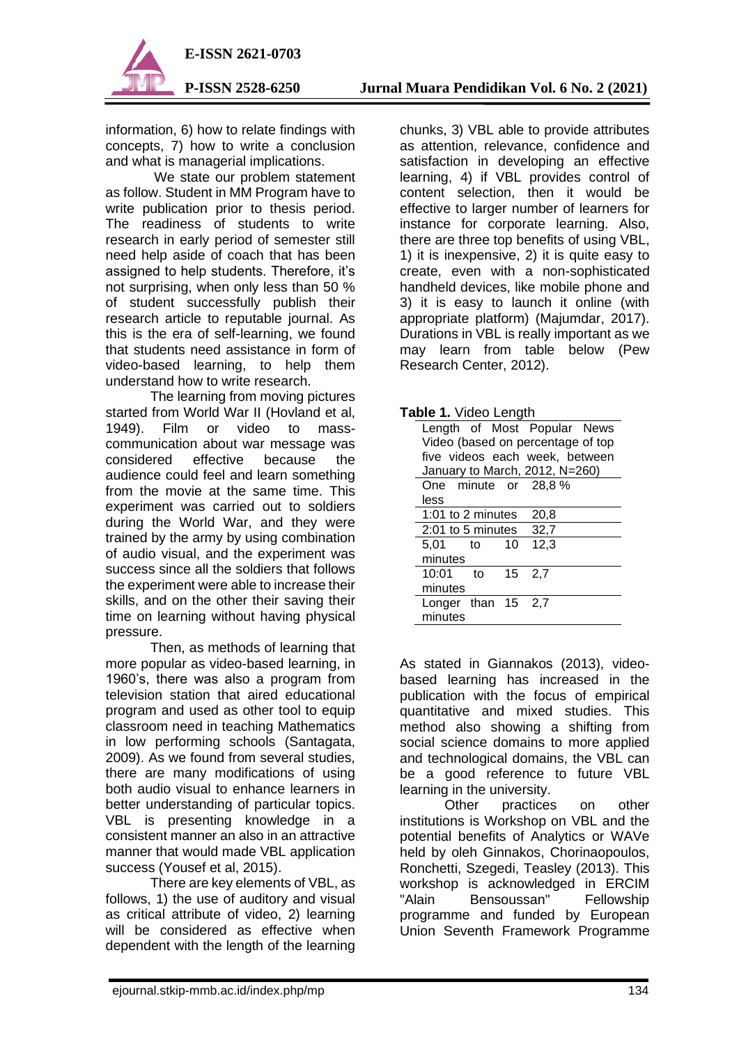

information, 6) how to relate findings with concepts, 7) how to write a conclusion and what is managerial implications.

 We state our problem statement as follow. Student in MM Program have to write publication prior to thesis period. The readiness of students to write research in early period of semester still need help aside of coach that has been assigned to help students. Therefore, it's not surprising, when only less than 50 % of student successfully publish their research article to reputable journal. As this is the era of self-learning, we found that students need assistance in form of video-based learning, to help them understand how to write research.

The learning from moving pictures started from World War II (Hovland et al, 1949). Film or video to masscommunication about war message was considered effective because the audience could feel and learn something from the movie at the same time. This experiment was carried out to soldiers during the World War, and they were trained by the army by using combination of audio visual, and the experiment was success since all the soldiers that follows the experiment were able to increase their skills, and on the other their saving their time on learning without having physical pressure.

Then, as methods of learning that more popular as video-based learning, in 1960's, there was also a program from television station that aired educational program and used as other tool to equip classroom need in teaching Mathematics in low performing schools (Santagata, 2009). As we found from several studies, there are many modifications of using both audio visual to enhance learners in better understanding of particular topics. VBL is presenting knowledge in a consistent manner an also in an attractive manner that would made VBL application success (Yousef et al, 2015).

There are key elements of VBL, as follows, 1) the use of auditory and visual as critical attribute of video, 2) learning will be considered as effective when dependent with the length of the learning

chunks, 3) VBL able to provide attributes as attention, relevance, confidence and satisfaction in developing an effective learning, 4) if VBL provides control of content selection, then it would be effective to larger number of learners for instance for corporate learning. Also, there are three top benefits of using VBL, 1) it is inexpensive, 2) it is quite easy to create, even with a non-sophisticated handheld devices, like mobile phone and 3) it is easy to launch it online (with appropriate platform) (Majumdar, 2017). Durations in VBL is really important as we may learn from table below (Pew Research Center, 2012).

| <b>Table 1. Video Length</b> |                                   |    |    |      |                                |  |
|------------------------------|-----------------------------------|----|----|------|--------------------------------|--|
|                              |                                   |    |    |      | Length of Most Popular News    |  |
|                              | Video (based on percentage of top |    |    |      |                                |  |
|                              |                                   |    |    |      | five videos each week, between |  |
|                              | January to March, 2012, N=260)    |    |    |      |                                |  |
|                              | One minute or 28,8 %              |    |    |      |                                |  |
|                              | less                              |    |    |      |                                |  |
|                              | 1:01 to 2 minutes                 |    |    | 20,8 |                                |  |
|                              | 2:01 to 5 minutes<br>32,7         |    |    |      |                                |  |
|                              | 5,01                              | to | 10 | 12,3 |                                |  |
|                              | minutes                           |    |    |      |                                |  |
|                              | 10:01 to                          |    | 15 | 2.7  |                                |  |
|                              | minutes                           |    |    |      |                                |  |
|                              | Longer than $15$ 2,7              |    |    |      |                                |  |
|                              | minutes                           |    |    |      |                                |  |

As stated in Giannakos (2013), videobased learning has increased in the publication with the focus of empirical quantitative and mixed studies. This method also showing a shifting from social science domains to more applied and technological domains, the VBL can be a good reference to future VBL learning in the university.

Other practices on other institutions is Workshop on VBL and the potential benefits of Analytics or WAVe held by oleh Ginnakos, Chorinaopoulos, Ronchetti, Szegedi, Teasley (2013). This workshop is acknowledged in ERCIM "Alain Bensoussan" Fellowship programme and funded by European Union Seventh Framework Programme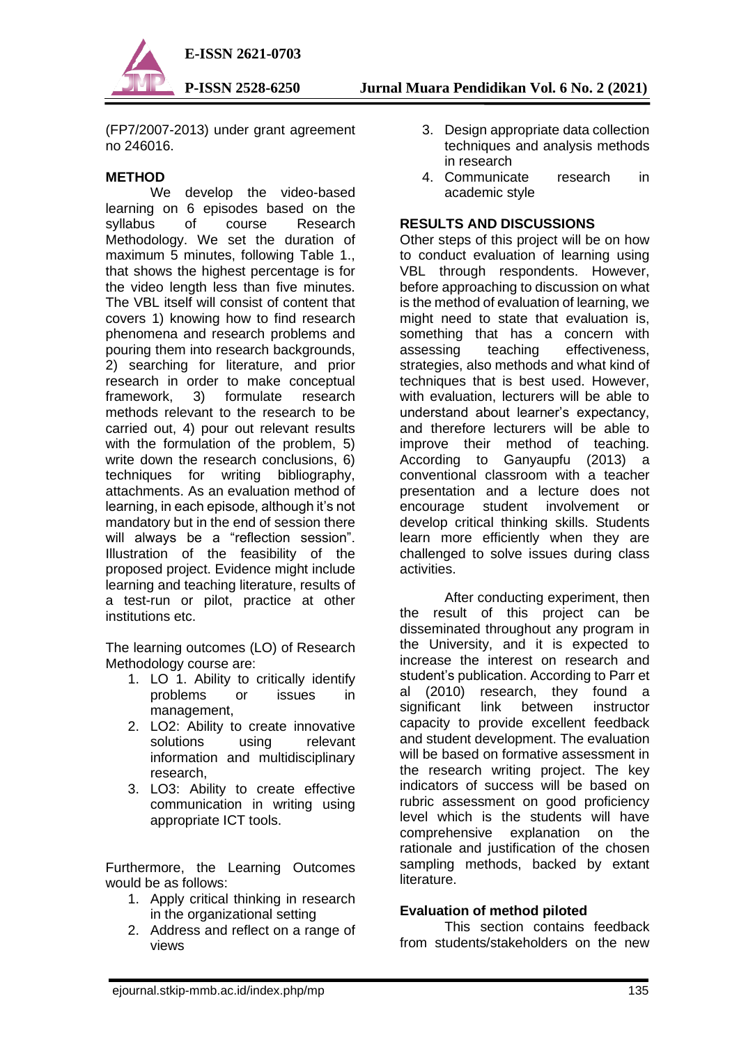

**P-ISSN 2528-6250 Jurnal Muara Pendidikan Vol. 6 No. 2 (2021)**

(FP7/2007-2013) under grant agreement no 246016.

## **METHOD**

We develop the video-based learning on 6 episodes based on the syllabus of course Research Methodology. We set the duration of maximum 5 minutes, following Table 1., that shows the highest percentage is for the video length less than five minutes. The VBL itself will consist of content that covers 1) knowing how to find research phenomena and research problems and pouring them into research backgrounds, 2) searching for literature, and prior research in order to make conceptual framework, 3) formulate research methods relevant to the research to be carried out, 4) pour out relevant results with the formulation of the problem, 5) write down the research conclusions, 6) techniques for writing bibliography, attachments. As an evaluation method of learning, in each episode, although it's not mandatory but in the end of session there will always be a "reflection session". Illustration of the feasibility of the proposed project. Evidence might include learning and teaching literature, results of a test-run or pilot, practice at other institutions etc.

The learning outcomes (LO) of Research Methodology course are:

- 1. LO 1. Ability to critically identify problems or issues in management,
- 2. LO2: Ability to create innovative<br>solutions using relevant solutions using relevant information and multidisciplinary research,
- 3. LO3: Ability to create effective communication in writing using appropriate ICT tools.

Furthermore, the Learning Outcomes would be as follows:

- 1. Apply critical thinking in research in the organizational setting
- 2. Address and reflect on a range of views
- 3. Design appropriate data collection techniques and analysis methods in research
- 4. Communicate research in academic style

## **RESULTS AND DISCUSSIONS**

Other steps of this project will be on how to conduct evaluation of learning using VBL through respondents. However, before approaching to discussion on what is the method of evaluation of learning, we might need to state that evaluation is, something that has a concern with assessing teaching effectiveness, strategies, also methods and what kind of techniques that is best used. However, with evaluation, lecturers will be able to understand about learner's expectancy, and therefore lecturers will be able to improve their method of teaching. According to Ganyaupfu (2013) a conventional classroom with a teacher presentation and a lecture does not encourage student involvement or develop critical thinking skills. Students learn more efficiently when they are challenged to solve issues during class activities.

After conducting experiment, then the result of this project can be disseminated throughout any program in the University, and it is expected to increase the interest on research and student's publication. According to Parr et al (2010) research, they found a significant link between instructor capacity to provide excellent feedback and student development. The evaluation will be based on formative assessment in the research writing project. The key indicators of success will be based on rubric assessment on good proficiency level which is the students will have comprehensive explanation on the rationale and justification of the chosen sampling methods, backed by extant literature.

# **Evaluation of method piloted**

This section contains feedback from students/stakeholders on the new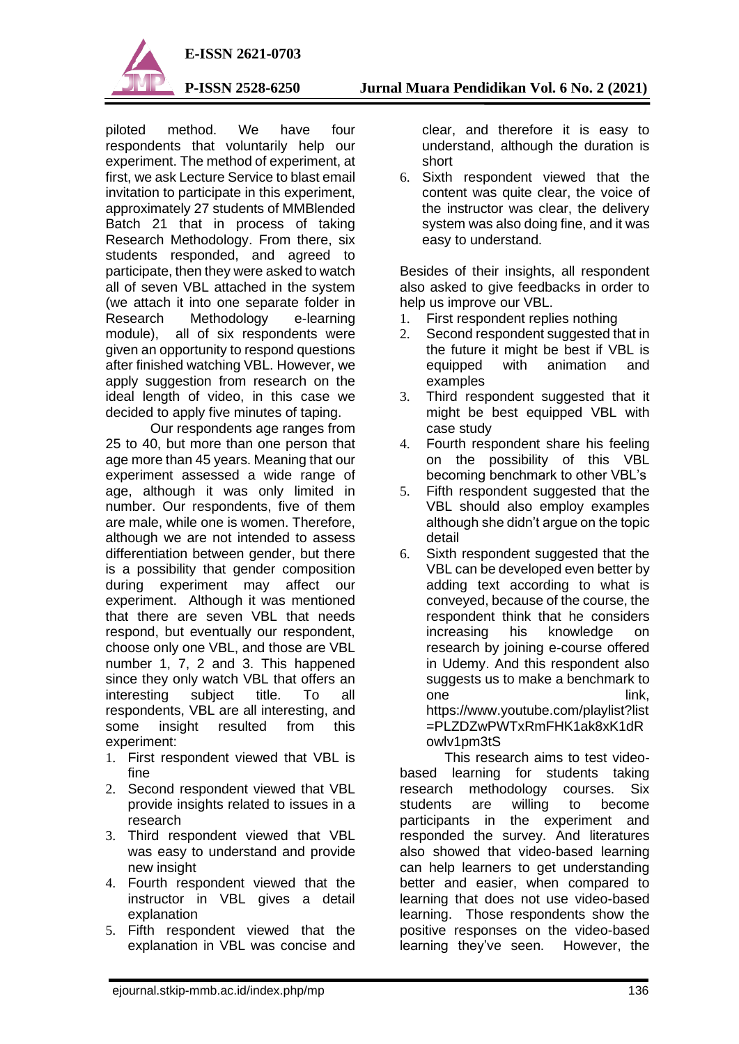

piloted method. We have four respondents that voluntarily help our experiment. The method of experiment, at first, we ask Lecture Service to blast email invitation to participate in this experiment, approximately 27 students of MMBlended Batch 21 that in process of taking Research Methodology. From there, six students responded, and agreed to participate, then they were asked to watch all of seven VBL attached in the system (we attach it into one separate folder in Research Methodology e-learning module), all of six respondents were given an opportunity to respond questions after finished watching VBL. However, we apply suggestion from research on the ideal length of video, in this case we decided to apply five minutes of taping.

Our respondents age ranges from 25 to 40, but more than one person that age more than 45 years. Meaning that our experiment assessed a wide range of age, although it was only limited in number. Our respondents, five of them are male, while one is women. Therefore, although we are not intended to assess differentiation between gender, but there is a possibility that gender composition during experiment may affect our experiment. Although it was mentioned that there are seven VBL that needs respond, but eventually our respondent, choose only one VBL, and those are VBL number 1, 7, 2 and 3. This happened since they only watch VBL that offers an interesting subject title. To all respondents, VBL are all interesting, and some insight resulted from this experiment:

- 1. First respondent viewed that VBL is fine
- 2. Second respondent viewed that VBL provide insights related to issues in a research
- 3. Third respondent viewed that VBL was easy to understand and provide new insight
- 4. Fourth respondent viewed that the instructor in VBL gives a detail explanation
- 5. Fifth respondent viewed that the explanation in VBL was concise and

clear, and therefore it is easy to understand, although the duration is short

6. Sixth respondent viewed that the content was quite clear, the voice of the instructor was clear, the delivery system was also doing fine, and it was easy to understand.

Besides of their insights, all respondent also asked to give feedbacks in order to help us improve our VBL.

- 1. First respondent replies nothing
- 2. Second respondent suggested that in the future it might be best if VBL is<br>equipped with animation and equipped with animation and examples
- 3. Third respondent suggested that it might be best equipped VBL with case study
- 4. Fourth respondent share his feeling on the possibility of this VBL becoming benchmark to other VBL's
- 5. Fifth respondent suggested that the VBL should also employ examples although she didn't argue on the topic detail
- 6. Sixth respondent suggested that the VBL can be developed even better by adding text according to what is conveyed, because of the course, the respondent think that he considers increasing his knowledge on research by joining e-course offered in Udemy. And this respondent also suggests us to make a benchmark to one link, https://www.youtube.com/playlist?list =PLZDZwPWTxRmFHK1ak8xK1dR owlv1pm3tS

This research aims to test videobased learning for students taking research methodology courses. Six students are willing to become participants in the experiment and responded the survey. And literatures also showed that video-based learning can help learners to get understanding better and easier, when compared to learning that does not use video-based learning. Those respondents show the positive responses on the video-based learning they've seen. However, the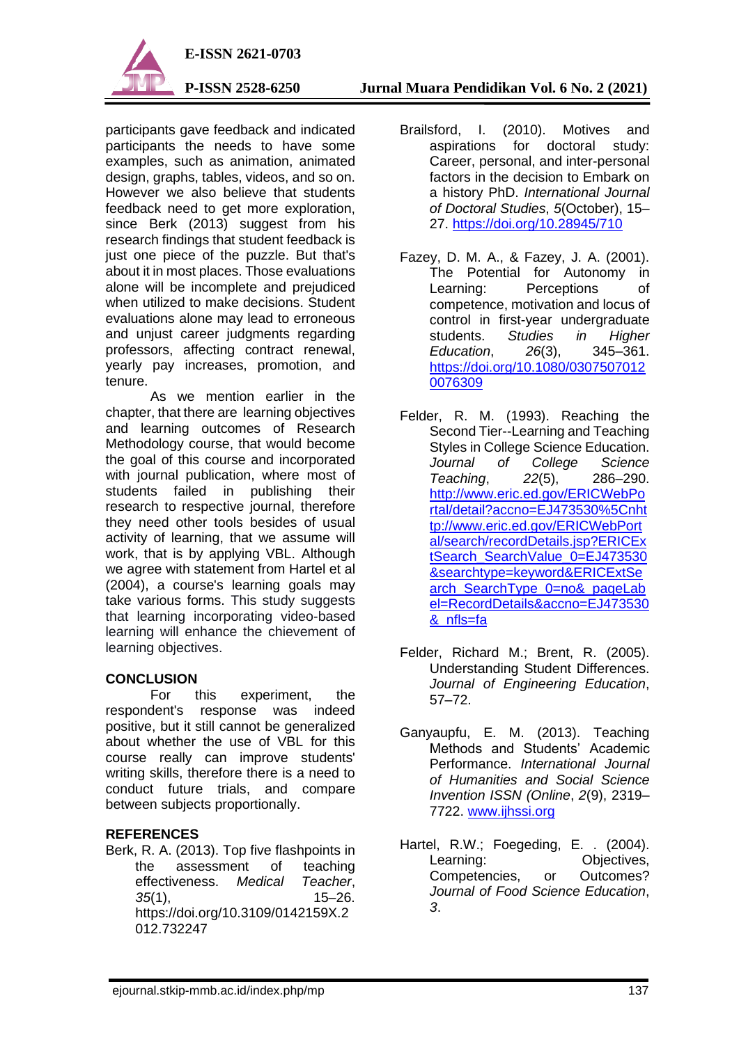

participants gave feedback and indicated participants the needs to have some examples, such as animation, animated design, graphs, tables, videos, and so on. However we also believe that students feedback need to get more exploration, since Berk (2013) suggest from his research findings that student feedback is just one piece of the puzzle. But that's about it in most places. Those evaluations alone will be incomplete and prejudiced when utilized to make decisions. Student evaluations alone may lead to erroneous and unjust career judgments regarding professors, affecting contract renewal, yearly pay increases, promotion, and tenure.

As we mention earlier in the chapter, that there are learning objectives and learning outcomes of Research Methodology course, that would become the goal of this course and incorporated with journal publication, where most of students failed in publishing their research to respective journal, therefore they need other tools besides of usual activity of learning, that we assume will work, that is by applying VBL. Although we agree with statement from Hartel et al (2004), a course's learning goals may take various forms. This study suggests that learning incorporating video-based learning will enhance the chievement of learning objectives.

## **CONCLUSION**

For this experiment, the respondent's response was indeed positive, but it still cannot be generalized about whether the use of VBL for this course really can improve students' writing skills, therefore there is a need to conduct future trials, and compare between subjects proportionally.

# **REFERENCES**

Berk, R. A. (2013). Top five flashpoints in the assessment of teaching effectiveness. *Medical Teacher*, *35*(1), 15–26. https://doi.org/10.3109/0142159X.2 012.732247

- Brailsford, I. (2010). Motives and aspirations for doctoral study: Career, personal, and inter-personal factors in the decision to Embark on a history PhD. *International Journal of Doctoral Studies*, *5*(October), 15– 27.<https://doi.org/10.28945/710>
- Fazey, D. M. A., & Fazey, J. A. (2001). The Potential for Autonomy in Learning: Perceptions of competence, motivation and locus of control in first-year undergraduate students. *Studies in Higher Education*, *26*(3), 345–361. [https://doi.org/10.1080/0307507012](https://doi.org/10.1080/03075070120076309) [0076309](https://doi.org/10.1080/03075070120076309)
- Felder, R. M. (1993). Reaching the Second Tier--Learning and Teaching Styles in College Science Education. *Journal of College Science Teaching*, *22*(5), 286–290. [http://www.eric.ed.gov/ERICWebPo](http://www.eric.ed.gov/ERICWebPortal/detail?accno=EJ473530%5Cnhttp://www.eric.ed.gov/ERICWebPortal/search/recordDetails.jsp?ERICExtSearch_SearchValue_0=EJ473530&searchtype=keyword&ERICExtSearch_SearchType_0=no&_pageLabel=RecordDetails&accno=EJ473530&_nfls=fa) [rtal/detail?accno=EJ473530%5Cnht](http://www.eric.ed.gov/ERICWebPortal/detail?accno=EJ473530%5Cnhttp://www.eric.ed.gov/ERICWebPortal/search/recordDetails.jsp?ERICExtSearch_SearchValue_0=EJ473530&searchtype=keyword&ERICExtSearch_SearchType_0=no&_pageLabel=RecordDetails&accno=EJ473530&_nfls=fa) [tp://www.eric.ed.gov/ERICWebPort](http://www.eric.ed.gov/ERICWebPortal/detail?accno=EJ473530%5Cnhttp://www.eric.ed.gov/ERICWebPortal/search/recordDetails.jsp?ERICExtSearch_SearchValue_0=EJ473530&searchtype=keyword&ERICExtSearch_SearchType_0=no&_pageLabel=RecordDetails&accno=EJ473530&_nfls=fa) [al/search/recordDetails.jsp?ERICEx](http://www.eric.ed.gov/ERICWebPortal/detail?accno=EJ473530%5Cnhttp://www.eric.ed.gov/ERICWebPortal/search/recordDetails.jsp?ERICExtSearch_SearchValue_0=EJ473530&searchtype=keyword&ERICExtSearch_SearchType_0=no&_pageLabel=RecordDetails&accno=EJ473530&_nfls=fa) tSearch SearchValue 0=EJ473530 [&searchtype=keyword&ERICExtSe](http://www.eric.ed.gov/ERICWebPortal/detail?accno=EJ473530%5Cnhttp://www.eric.ed.gov/ERICWebPortal/search/recordDetails.jsp?ERICExtSearch_SearchValue_0=EJ473530&searchtype=keyword&ERICExtSearch_SearchType_0=no&_pageLabel=RecordDetails&accno=EJ473530&_nfls=fa) arch SearchType 0=no& pageLab [el=RecordDetails&accno=EJ473530](http://www.eric.ed.gov/ERICWebPortal/detail?accno=EJ473530%5Cnhttp://www.eric.ed.gov/ERICWebPortal/search/recordDetails.jsp?ERICExtSearch_SearchValue_0=EJ473530&searchtype=keyword&ERICExtSearch_SearchType_0=no&_pageLabel=RecordDetails&accno=EJ473530&_nfls=fa) [&\\_nfls=fa](http://www.eric.ed.gov/ERICWebPortal/detail?accno=EJ473530%5Cnhttp://www.eric.ed.gov/ERICWebPortal/search/recordDetails.jsp?ERICExtSearch_SearchValue_0=EJ473530&searchtype=keyword&ERICExtSearch_SearchType_0=no&_pageLabel=RecordDetails&accno=EJ473530&_nfls=fa)
- Felder, Richard M.; Brent, R. (2005). Understanding Student Differences. *Journal of Engineering Education*, 57–72.
- Ganyaupfu, E. M. (2013). Teaching Methods and Students' Academic Performance. *International Journal of Humanities and Social Science Invention ISSN (Online*, *2*(9), 2319– 7722. [www.ijhssi.org](http://www.ijhssi.org/)
- Hartel, R.W.; Foegeding, E. . (2004). Learning: **Objectives**, Competencies, or Outcomes? *Journal of Food Science Education*, *3*.